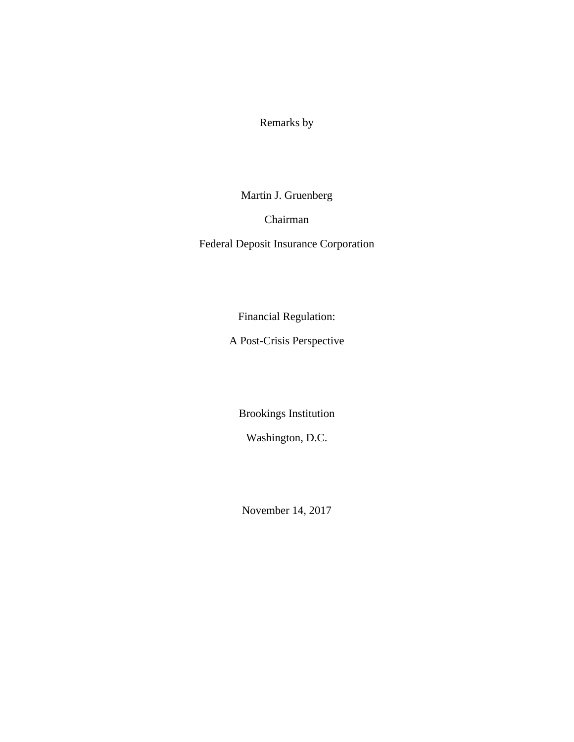Remarks by

Martin J. Gruenberg

Chairman

Federal Deposit Insurance Corporation

Financial Regulation:

A Post-Crisis Perspective

Brookings Institution

Washington, D.C.

November 14, 2017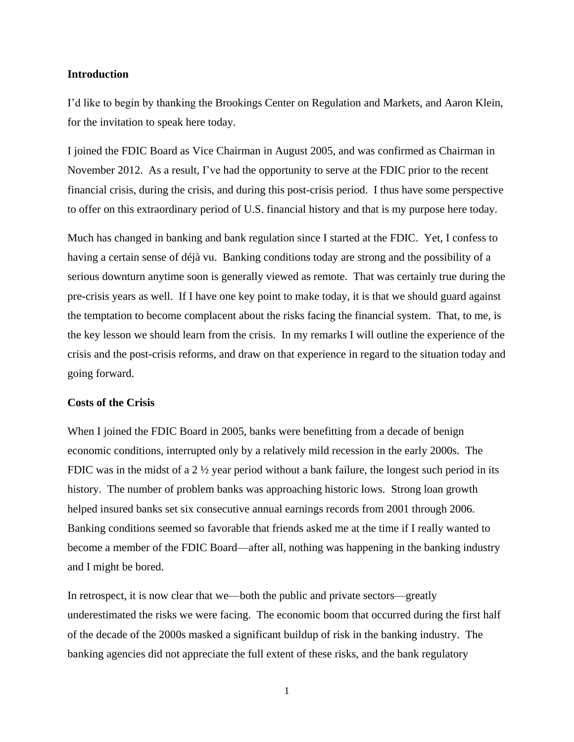### **Introduction**

I'd like to begin by thanking the Brookings Center on Regulation and Markets, and Aaron Klein, for the invitation to speak here today.

I joined the FDIC Board as Vice Chairman in August 2005, and was confirmed as Chairman in November 2012. As a result, I've had the opportunity to serve at the FDIC prior to the recent financial crisis, during the crisis, and during this post-crisis period. I thus have some perspective to offer on this extraordinary period of U.S. financial history and that is my purpose here today.

Much has changed in banking and bank regulation since I started at the FDIC. Yet, I confess to having a certain sense of déjà vu. Banking conditions today are strong and the possibility of a serious downturn anytime soon is generally viewed as remote. That was certainly true during the pre-crisis years as well. If I have one key point to make today, it is that we should guard against the temptation to become complacent about the risks facing the financial system. That, to me, is the key lesson we should learn from the crisis. In my remarks I will outline the experience of the crisis and the post-crisis reforms, and draw on that experience in regard to the situation today and going forward.

# **Costs of the Crisis**

When I joined the FDIC Board in 2005, banks were benefitting from a decade of benign economic conditions, interrupted only by a relatively mild recession in the early 2000s. The FDIC was in the midst of a 2  $\frac{1}{2}$  year period without a bank failure, the longest such period in its history. The number of problem banks was approaching historic lows. Strong loan growth helped insured banks set six consecutive annual earnings records from 2001 through 2006. Banking conditions seemed so favorable that friends asked me at the time if I really wanted to become a member of the FDIC Board—after all, nothing was happening in the banking industry and I might be bored.

In retrospect, it is now clear that we—both the public and private sectors—greatly underestimated the risks we were facing. The economic boom that occurred during the first half of the decade of the 2000s masked a significant buildup of risk in the banking industry. The banking agencies did not appreciate the full extent of these risks, and the bank regulatory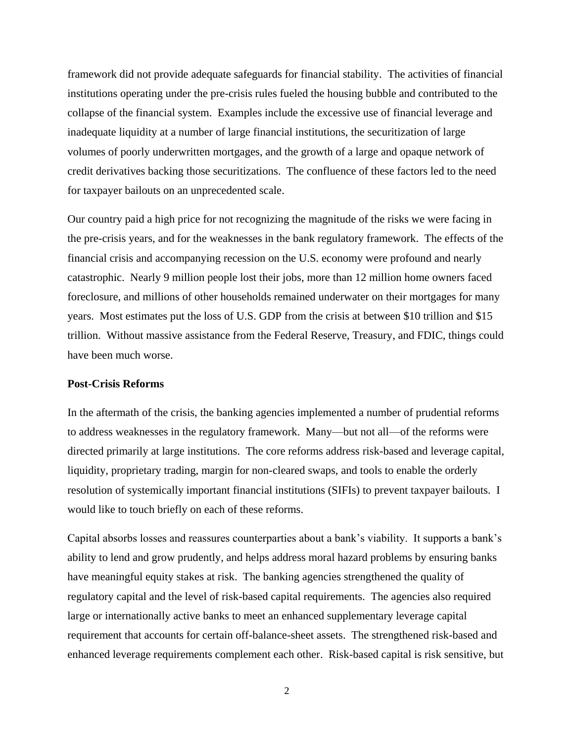framework did not provide adequate safeguards for financial stability. The activities of financial institutions operating under the pre-crisis rules fueled the housing bubble and contributed to the collapse of the financial system. Examples include the excessive use of financial leverage and inadequate liquidity at a number of large financial institutions, the securitization of large volumes of poorly underwritten mortgages, and the growth of a large and opaque network of credit derivatives backing those securitizations. The confluence of these factors led to the need for taxpayer bailouts on an unprecedented scale.

Our country paid a high price for not recognizing the magnitude of the risks we were facing in the pre-crisis years, and for the weaknesses in the bank regulatory framework. The effects of the financial crisis and accompanying recession on the U.S. economy were profound and nearly catastrophic. Nearly 9 million people lost their jobs, more than 12 million home owners faced foreclosure, and millions of other households remained underwater on their mortgages for many years. Most estimates put the loss of U.S. GDP from the crisis at between \$10 trillion and \$15 trillion. Without massive assistance from the Federal Reserve, Treasury, and FDIC, things could have been much worse.

## **Post-Crisis Reforms**

In the aftermath of the crisis, the banking agencies implemented a number of prudential reforms to address weaknesses in the regulatory framework. Many—but not all—of the reforms were directed primarily at large institutions. The core reforms address risk-based and leverage capital, liquidity, proprietary trading, margin for non-cleared swaps, and tools to enable the orderly resolution of systemically important financial institutions (SIFIs) to prevent taxpayer bailouts. I would like to touch briefly on each of these reforms.

Capital absorbs losses and reassures counterparties about a bank's viability. It supports a bank's ability to lend and grow prudently, and helps address moral hazard problems by ensuring banks have meaningful equity stakes at risk. The banking agencies strengthened the quality of regulatory capital and the level of risk-based capital requirements. The agencies also required large or internationally active banks to meet an enhanced supplementary leverage capital requirement that accounts for certain off-balance-sheet assets. The strengthened risk-based and enhanced leverage requirements complement each other. Risk-based capital is risk sensitive, but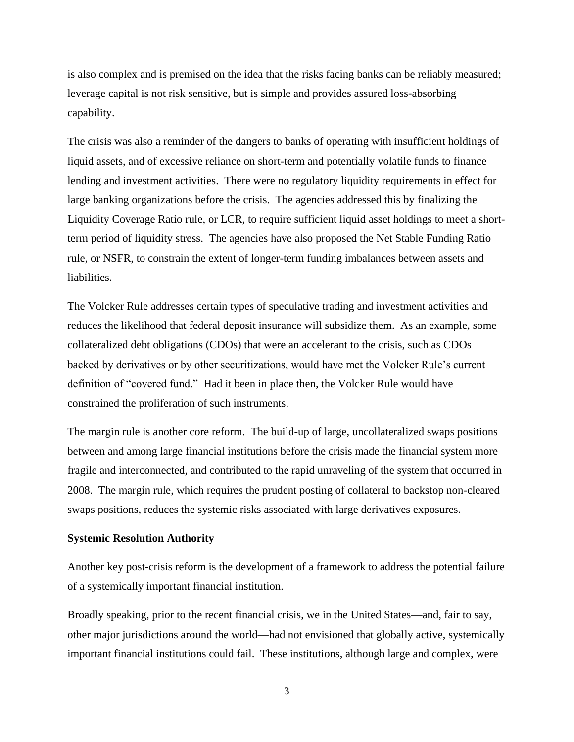is also complex and is premised on the idea that the risks facing banks can be reliably measured; leverage capital is not risk sensitive, but is simple and provides assured loss-absorbing capability.

The crisis was also a reminder of the dangers to banks of operating with insufficient holdings of liquid assets, and of excessive reliance on short-term and potentially volatile funds to finance lending and investment activities. There were no regulatory liquidity requirements in effect for large banking organizations before the crisis. The agencies addressed this by finalizing the Liquidity Coverage Ratio rule, or LCR, to require sufficient liquid asset holdings to meet a shortterm period of liquidity stress. The agencies have also proposed the Net Stable Funding Ratio rule, or NSFR, to constrain the extent of longer-term funding imbalances between assets and liabilities.

The Volcker Rule addresses certain types of speculative trading and investment activities and reduces the likelihood that federal deposit insurance will subsidize them. As an example, some collateralized debt obligations (CDOs) that were an accelerant to the crisis, such as CDOs backed by derivatives or by other securitizations, would have met the Volcker Rule's current definition of "covered fund." Had it been in place then, the Volcker Rule would have constrained the proliferation of such instruments.

The margin rule is another core reform. The build-up of large, uncollateralized swaps positions between and among large financial institutions before the crisis made the financial system more fragile and interconnected, and contributed to the rapid unraveling of the system that occurred in 2008. The margin rule, which requires the prudent posting of collateral to backstop non-cleared swaps positions, reduces the systemic risks associated with large derivatives exposures.

#### **Systemic Resolution Authority**

Another key post-crisis reform is the development of a framework to address the potential failure of a systemically important financial institution.

Broadly speaking, prior to the recent financial crisis, we in the United States—and, fair to say, other major jurisdictions around the world—had not envisioned that globally active, systemically important financial institutions could fail. These institutions, although large and complex, were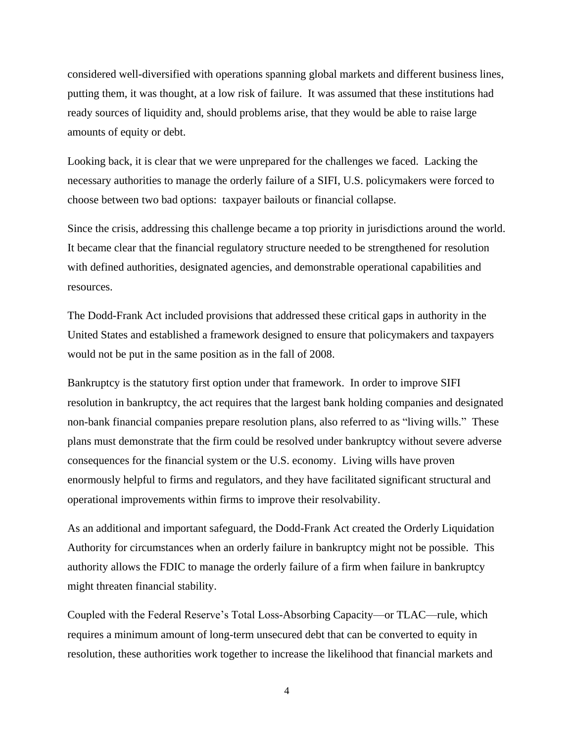considered well-diversified with operations spanning global markets and different business lines, putting them, it was thought, at a low risk of failure. It was assumed that these institutions had ready sources of liquidity and, should problems arise, that they would be able to raise large amounts of equity or debt.

Looking back, it is clear that we were unprepared for the challenges we faced. Lacking the necessary authorities to manage the orderly failure of a SIFI, U.S. policymakers were forced to choose between two bad options: taxpayer bailouts or financial collapse.

Since the crisis, addressing this challenge became a top priority in jurisdictions around the world. It became clear that the financial regulatory structure needed to be strengthened for resolution with defined authorities, designated agencies, and demonstrable operational capabilities and resources.

The Dodd-Frank Act included provisions that addressed these critical gaps in authority in the United States and established a framework designed to ensure that policymakers and taxpayers would not be put in the same position as in the fall of 2008.

Bankruptcy is the statutory first option under that framework. In order to improve SIFI resolution in bankruptcy, the act requires that the largest bank holding companies and designated non-bank financial companies prepare resolution plans, also referred to as "living wills." These plans must demonstrate that the firm could be resolved under bankruptcy without severe adverse consequences for the financial system or the U.S. economy. Living wills have proven enormously helpful to firms and regulators, and they have facilitated significant structural and operational improvements within firms to improve their resolvability.

As an additional and important safeguard, the Dodd-Frank Act created the Orderly Liquidation Authority for circumstances when an orderly failure in bankruptcy might not be possible. This authority allows the FDIC to manage the orderly failure of a firm when failure in bankruptcy might threaten financial stability.

Coupled with the Federal Reserve's Total Loss-Absorbing Capacity—or TLAC—rule, which requires a minimum amount of long-term unsecured debt that can be converted to equity in resolution, these authorities work together to increase the likelihood that financial markets and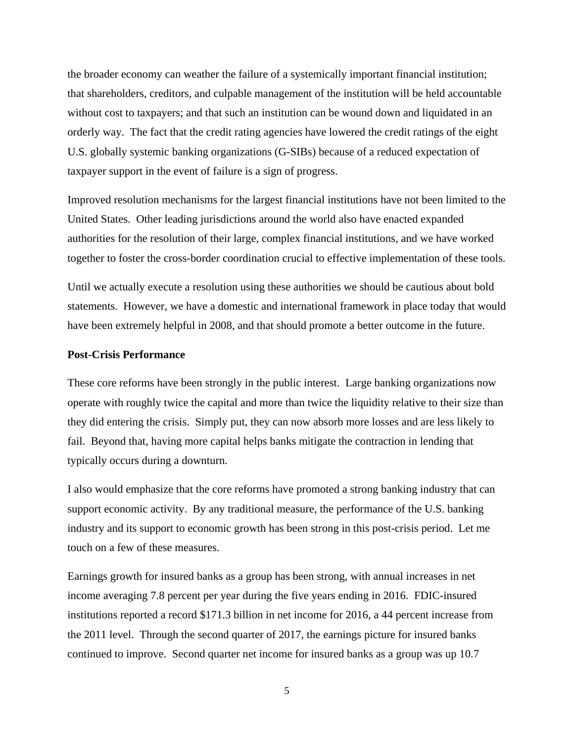the broader economy can weather the failure of a systemically important financial institution; that shareholders, creditors, and culpable management of the institution will be held accountable without cost to taxpayers; and that such an institution can be wound down and liquidated in an orderly way. The fact that the credit rating agencies have lowered the credit ratings of the eight U.S. globally systemic banking organizations (G-SIBs) because of a reduced expectation of taxpayer support in the event of failure is a sign of progress.

Improved resolution mechanisms for the largest financial institutions have not been limited to the United States. Other leading jurisdictions around the world also have enacted expanded authorities for the resolution of their large, complex financial institutions, and we have worked together to foster the cross-border coordination crucial to effective implementation of these tools.

Until we actually execute a resolution using these authorities we should be cautious about bold statements. However, we have a domestic and international framework in place today that would have been extremely helpful in 2008, and that should promote a better outcome in the future.

#### **Post-Crisis Performance**

These core reforms have been strongly in the public interest. Large banking organizations now operate with roughly twice the capital and more than twice the liquidity relative to their size than they did entering the crisis. Simply put, they can now absorb more losses and are less likely to fail. Beyond that, having more capital helps banks mitigate the contraction in lending that typically occurs during a downturn.

I also would emphasize that the core reforms have promoted a strong banking industry that can support economic activity. By any traditional measure, the performance of the U.S. banking industry and its support to economic growth has been strong in this post-crisis period. Let me touch on a few of these measures.

Earnings growth for insured banks as a group has been strong, with annual increases in net income averaging 7.8 percent per year during the five years ending in 2016. FDIC-insured institutions reported a record \$171.3 billion in net income for 2016, a 44 percent increase from the 2011 level. Through the second quarter of 2017, the earnings picture for insured banks continued to improve. Second quarter net income for insured banks as a group was up 10.7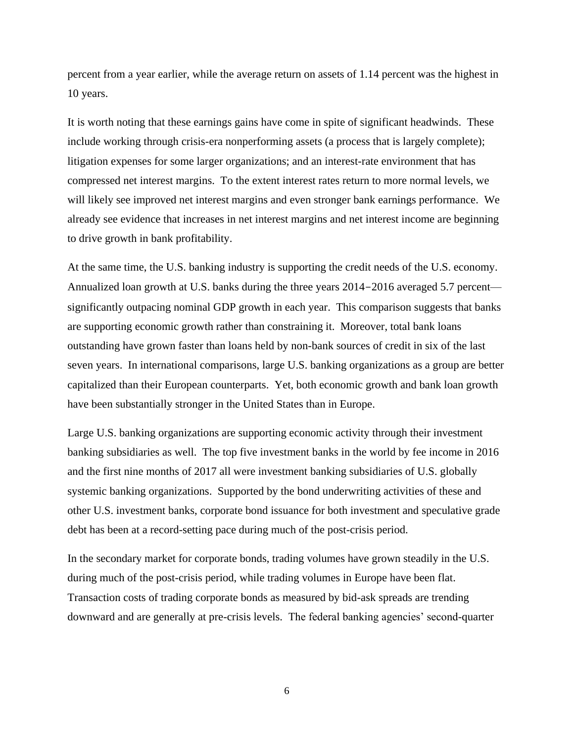percent from a year earlier, while the average return on assets of 1.14 percent was the highest in 10 years.

It is worth noting that these earnings gains have come in spite of significant headwinds. These include working through crisis-era nonperforming assets (a process that is largely complete); litigation expenses for some larger organizations; and an interest-rate environment that has compressed net interest margins. To the extent interest rates return to more normal levels, we will likely see improved net interest margins and even stronger bank earnings performance. We already see evidence that increases in net interest margins and net interest income are beginning to drive growth in bank profitability.

At the same time, the U.S. banking industry is supporting the credit needs of the U.S. economy. Annualized loan growth at U.S. banks during the three years 2014-2016 averaged 5.7 percent significantly outpacing nominal GDP growth in each year. This comparison suggests that banks are supporting economic growth rather than constraining it. Moreover, total bank loans outstanding have grown faster than loans held by non-bank sources of credit in six of the last seven years. In international comparisons, large U.S. banking organizations as a group are better capitalized than their European counterparts. Yet, both economic growth and bank loan growth have been substantially stronger in the United States than in Europe.

Large U.S. banking organizations are supporting economic activity through their investment banking subsidiaries as well. The top five investment banks in the world by fee income in 2016 and the first nine months of 2017 all were investment banking subsidiaries of U.S. globally systemic banking organizations. Supported by the bond underwriting activities of these and other U.S. investment banks, corporate bond issuance for both investment and speculative grade debt has been at a record-setting pace during much of the post-crisis period.

In the secondary market for corporate bonds, trading volumes have grown steadily in the U.S. during much of the post-crisis period, while trading volumes in Europe have been flat. Transaction costs of trading corporate bonds as measured by bid-ask spreads are trending downward and are generally at pre-crisis levels. The federal banking agencies' second-quarter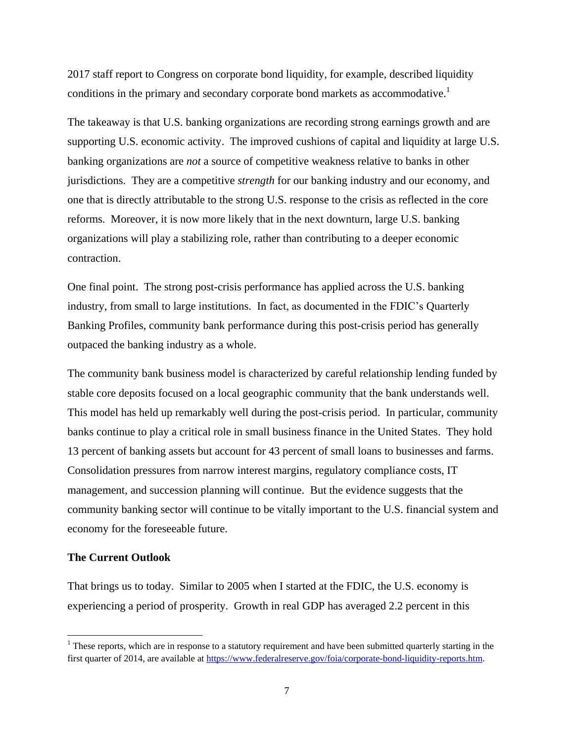2017 staff report to Congress on corporate bond liquidity, for example, described liquidity conditions in the primary and secondary corporate bond markets as accommodative.<sup>1</sup>

The takeaway is that U.S. banking organizations are recording strong earnings growth and are supporting U.S. economic activity. The improved cushions of capital and liquidity at large U.S. banking organizations are *not* a source of competitive weakness relative to banks in other jurisdictions. They are a competitive *strength* for our banking industry and our economy, and one that is directly attributable to the strong U.S. response to the crisis as reflected in the core reforms. Moreover, it is now more likely that in the next downturn, large U.S. banking organizations will play a stabilizing role, rather than contributing to a deeper economic contraction.

One final point. The strong post-crisis performance has applied across the U.S. banking industry, from small to large institutions. In fact, as documented in the FDIC's Quarterly Banking Profiles, community bank performance during this post-crisis period has generally outpaced the banking industry as a whole.

The community bank business model is characterized by careful relationship lending funded by stable core deposits focused on a local geographic community that the bank understands well. This model has held up remarkably well during the post-crisis period. In particular, community banks continue to play a critical role in small business finance in the United States. They hold 13 percent of banking assets but account for 43 percent of small loans to businesses and farms. Consolidation pressures from narrow interest margins, regulatory compliance costs, IT management, and succession planning will continue. But the evidence suggests that the community banking sector will continue to be vitally important to the U.S. financial system and economy for the foreseeable future.

#### **The Current Outlook**

 $\overline{\phantom{a}}$ 

That brings us to today. Similar to 2005 when I started at the FDIC, the U.S. economy is experiencing a period of prosperity. Growth in real GDP has averaged 2.2 percent in this

 $1$  These reports, which are in response to a statutory requirement and have been submitted quarterly starting in the first quarter of 2014, are available at [https://www.federalreserve.gov/foia/corporate-bond-liquidity-reports.htm.](https://www.federalreserve.gov/foia/corporate-bond-liquidity-reports.htm)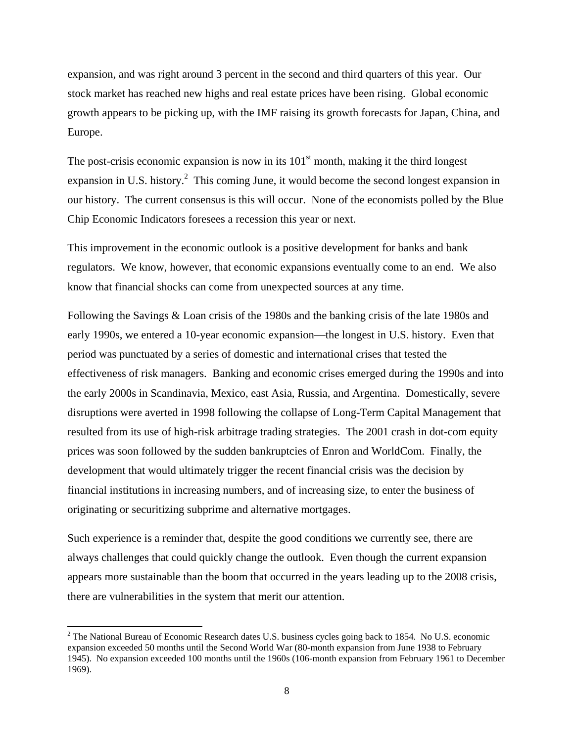expansion, and was right around 3 percent in the second and third quarters of this year. Our stock market has reached new highs and real estate prices have been rising. Global economic growth appears to be picking up, with the IMF raising its growth forecasts for Japan, China, and Europe.

The post-crisis economic expansion is now in its  $101<sup>st</sup>$  month, making it the third longest expansion in U.S. history.<sup>2</sup> This coming June, it would become the second longest expansion in our history. The current consensus is this will occur. None of the economists polled by the Blue Chip Economic Indicators foresees a recession this year or next.

This improvement in the economic outlook is a positive development for banks and bank regulators. We know, however, that economic expansions eventually come to an end. We also know that financial shocks can come from unexpected sources at any time.

Following the Savings & Loan crisis of the 1980s and the banking crisis of the late 1980s and early 1990s, we entered a 10-year economic expansion—the longest in U.S. history. Even that period was punctuated by a series of domestic and international crises that tested the effectiveness of risk managers. Banking and economic crises emerged during the 1990s and into the early 2000s in Scandinavia, Mexico, east Asia, Russia, and Argentina. Domestically, severe disruptions were averted in 1998 following the collapse of Long-Term Capital Management that resulted from its use of high-risk arbitrage trading strategies. The 2001 crash in dot-com equity prices was soon followed by the sudden bankruptcies of Enron and WorldCom. Finally, the development that would ultimately trigger the recent financial crisis was the decision by financial institutions in increasing numbers, and of increasing size, to enter the business of originating or securitizing subprime and alternative mortgages.

Such experience is a reminder that, despite the good conditions we currently see, there are always challenges that could quickly change the outlook. Even though the current expansion appears more sustainable than the boom that occurred in the years leading up to the 2008 crisis, there are vulnerabilities in the system that merit our attention.

 $\overline{\phantom{a}}$ 

<sup>&</sup>lt;sup>2</sup> The National Bureau of Economic Research dates U.S. business cycles going back to 1854. No U.S. economic expansion exceeded 50 months until the Second World War (80-month expansion from June 1938 to February 1945). No expansion exceeded 100 months until the 1960s (106-month expansion from February 1961 to December 1969).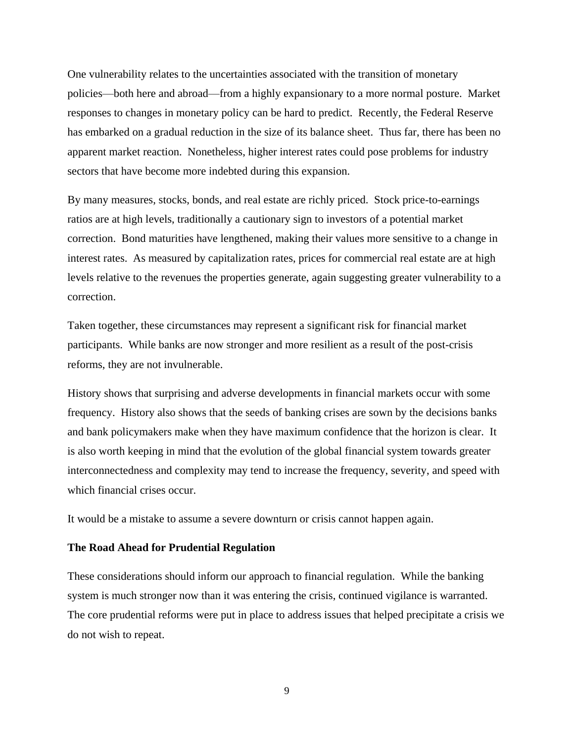One vulnerability relates to the uncertainties associated with the transition of monetary policies—both here and abroad—from a highly expansionary to a more normal posture. Market responses to changes in monetary policy can be hard to predict. Recently, the Federal Reserve has embarked on a gradual reduction in the size of its balance sheet. Thus far, there has been no apparent market reaction. Nonetheless, higher interest rates could pose problems for industry sectors that have become more indebted during this expansion.

By many measures, stocks, bonds, and real estate are richly priced. Stock price-to-earnings ratios are at high levels, traditionally a cautionary sign to investors of a potential market correction. Bond maturities have lengthened, making their values more sensitive to a change in interest rates. As measured by capitalization rates, prices for commercial real estate are at high levels relative to the revenues the properties generate, again suggesting greater vulnerability to a correction.

Taken together, these circumstances may represent a significant risk for financial market participants. While banks are now stronger and more resilient as a result of the post-crisis reforms, they are not invulnerable.

History shows that surprising and adverse developments in financial markets occur with some frequency. History also shows that the seeds of banking crises are sown by the decisions banks and bank policymakers make when they have maximum confidence that the horizon is clear. It is also worth keeping in mind that the evolution of the global financial system towards greater interconnectedness and complexity may tend to increase the frequency, severity, and speed with which financial crises occur.

It would be a mistake to assume a severe downturn or crisis cannot happen again.

# **The Road Ahead for Prudential Regulation**

These considerations should inform our approach to financial regulation. While the banking system is much stronger now than it was entering the crisis, continued vigilance is warranted. The core prudential reforms were put in place to address issues that helped precipitate a crisis we do not wish to repeat.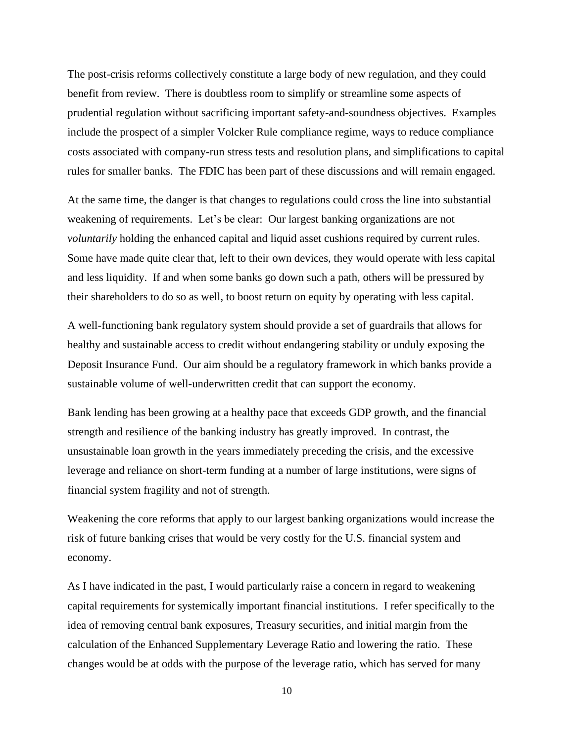The post-crisis reforms collectively constitute a large body of new regulation, and they could benefit from review. There is doubtless room to simplify or streamline some aspects of prudential regulation without sacrificing important safety-and-soundness objectives. Examples include the prospect of a simpler Volcker Rule compliance regime, ways to reduce compliance costs associated with company-run stress tests and resolution plans, and simplifications to capital rules for smaller banks. The FDIC has been part of these discussions and will remain engaged.

At the same time, the danger is that changes to regulations could cross the line into substantial weakening of requirements. Let's be clear: Our largest banking organizations are not *voluntarily* holding the enhanced capital and liquid asset cushions required by current rules. Some have made quite clear that, left to their own devices, they would operate with less capital and less liquidity. If and when some banks go down such a path, others will be pressured by their shareholders to do so as well, to boost return on equity by operating with less capital.

A well-functioning bank regulatory system should provide a set of guardrails that allows for healthy and sustainable access to credit without endangering stability or unduly exposing the Deposit Insurance Fund. Our aim should be a regulatory framework in which banks provide a sustainable volume of well-underwritten credit that can support the economy.

Bank lending has been growing at a healthy pace that exceeds GDP growth, and the financial strength and resilience of the banking industry has greatly improved. In contrast, the unsustainable loan growth in the years immediately preceding the crisis, and the excessive leverage and reliance on short-term funding at a number of large institutions, were signs of financial system fragility and not of strength.

Weakening the core reforms that apply to our largest banking organizations would increase the risk of future banking crises that would be very costly for the U.S. financial system and economy.

As I have indicated in the past, I would particularly raise a concern in regard to weakening capital requirements for systemically important financial institutions. I refer specifically to the idea of removing central bank exposures, Treasury securities, and initial margin from the calculation of the Enhanced Supplementary Leverage Ratio and lowering the ratio. These changes would be at odds with the purpose of the leverage ratio, which has served for many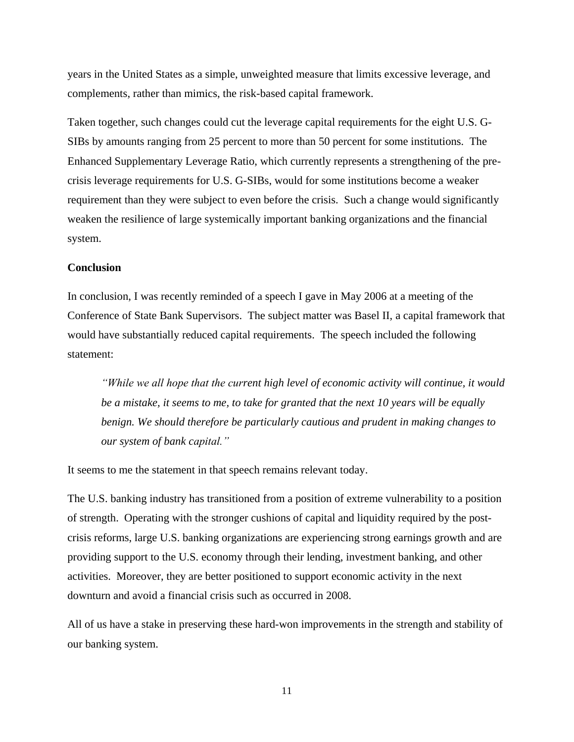years in the United States as a simple, unweighted measure that limits excessive leverage, and complements, rather than mimics, the risk-based capital framework.

Taken together, such changes could cut the leverage capital requirements for the eight U.S. G-SIBs by amounts ranging from 25 percent to more than 50 percent for some institutions. The Enhanced Supplementary Leverage Ratio, which currently represents a strengthening of the precrisis leverage requirements for U.S. G-SIBs, would for some institutions become a weaker requirement than they were subject to even before the crisis. Such a change would significantly weaken the resilience of large systemically important banking organizations and the financial system.

# **Conclusion**

In conclusion, I was recently reminded of a speech I gave in May 2006 at a meeting of the Conference of State Bank Supervisors. The subject matter was Basel II, a capital framework that would have substantially reduced capital requirements. The speech included the following statement:

*"While we all hope that the current high level of economic activity will continue, it would be a mistake, it seems to me, to take for granted that the next 10 years will be equally benign. We should therefore be particularly cautious and prudent in making changes to our system of bank capital."*

It seems to me the statement in that speech remains relevant today.

The U.S. banking industry has transitioned from a position of extreme vulnerability to a position of strength. Operating with the stronger cushions of capital and liquidity required by the postcrisis reforms, large U.S. banking organizations are experiencing strong earnings growth and are providing support to the U.S. economy through their lending, investment banking, and other activities. Moreover, they are better positioned to support economic activity in the next downturn and avoid a financial crisis such as occurred in 2008.

All of us have a stake in preserving these hard-won improvements in the strength and stability of our banking system.